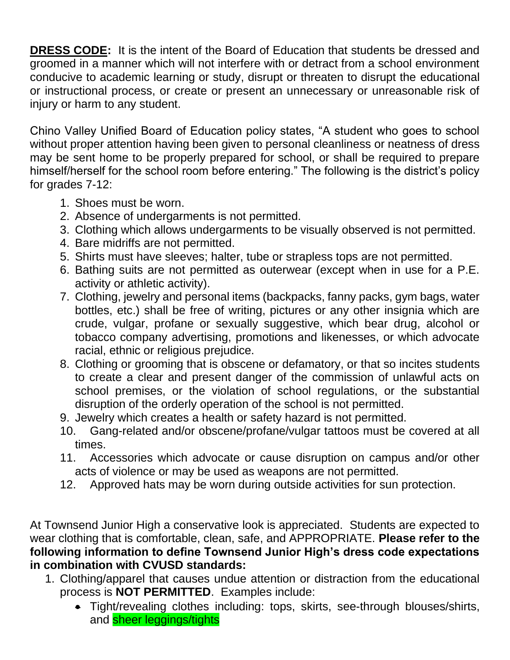**DRESS CODE:** It is the intent of the Board of Education that students be dressed and groomed in a manner which will not interfere with or detract from a school environment conducive to academic learning or study, disrupt or threaten to disrupt the educational or instructional process, or create or present an unnecessary or unreasonable risk of injury or harm to any student.

Chino Valley Unified Board of Education policy states, "A student who goes to school without proper attention having been given to personal cleanliness or neatness of dress may be sent home to be properly prepared for school, or shall be required to prepare himself/herself for the school room before entering." The following is the district's policy for grades 7-12:

- 1. Shoes must be worn.
- 2. Absence of undergarments is not permitted.
- 3. Clothing which allows undergarments to be visually observed is not permitted.
- 4. Bare midriffs are not permitted.
- 5. Shirts must have sleeves; halter, tube or strapless tops are not permitted.
- 6. Bathing suits are not permitted as outerwear (except when in use for a P.E. activity or athletic activity).
- 7. Clothing, jewelry and personal items (backpacks, fanny packs, gym bags, water bottles, etc.) shall be free of writing, pictures or any other insignia which are crude, vulgar, profane or sexually suggestive, which bear drug, alcohol or tobacco company advertising, promotions and likenesses, or which advocate racial, ethnic or religious prejudice.
- 8. Clothing or grooming that is obscene or defamatory, or that so incites students to create a clear and present danger of the commission of unlawful acts on school premises, or the violation of school regulations, or the substantial disruption of the orderly operation of the school is not permitted.
- 9. Jewelry which creates a health or safety hazard is not permitted.
- 10. Gang-related and/or obscene/profane/vulgar tattoos must be covered at all times.
- 11. Accessories which advocate or cause disruption on campus and/or other acts of violence or may be used as weapons are not permitted.
- 12. Approved hats may be worn during outside activities for sun protection.

At Townsend Junior High a conservative look is appreciated. Students are expected to wear clothing that is comfortable, clean, safe, and APPROPRIATE. **Please refer to the following information to define Townsend Junior High's dress code expectations in combination with CVUSD standards:**

- 1. Clothing/apparel that causes undue attention or distraction from the educational process is **NOT PERMITTED**. Examples include:
	- Tight/revealing clothes including: tops, skirts, see-through blouses/shirts, and sheer leggings/tights